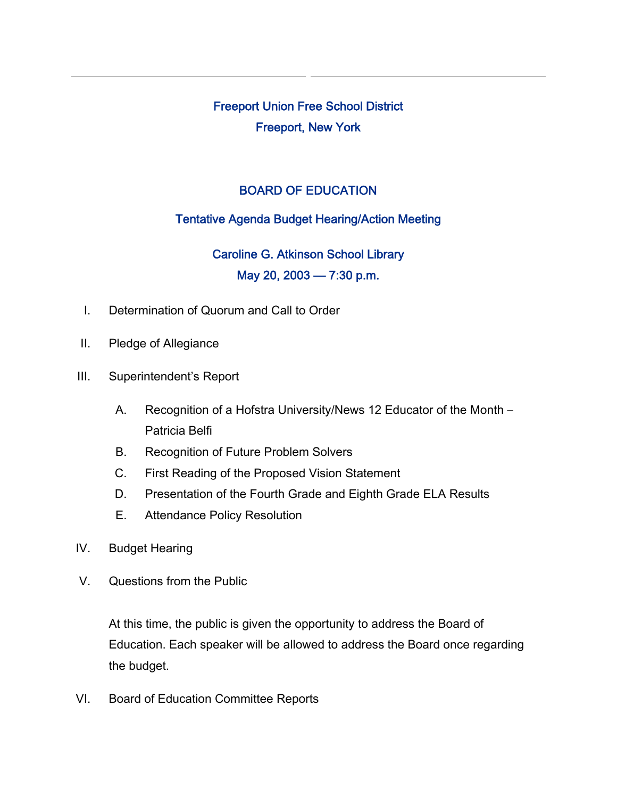Freeport Union Free School District Freeport, New York

# BOARD OF EDUCATION

## Tentative Agenda Budget Hearing/Action Meeting

Caroline G. Atkinson School Library May 20, 2003 — 7:30 p.m.

- I. Determination of Quorum and Call to Order
- II. Pledge of Allegiance
- III. Superintendent's Report
	- A. Recognition of a Hofstra University/News 12 Educator of the Month Patricia Belfi
	- B. Recognition of Future Problem Solvers
	- C. First Reading of the Proposed Vision Statement
	- D. Presentation of the Fourth Grade and Eighth Grade ELA Results
	- E. Attendance Policy Resolution
- IV. Budget Hearing
- V. Questions from the Public

At this time, the public is given the opportunity to address the Board of Education. Each speaker will be allowed to address the Board once regarding the budget.

VI. Board of Education Committee Reports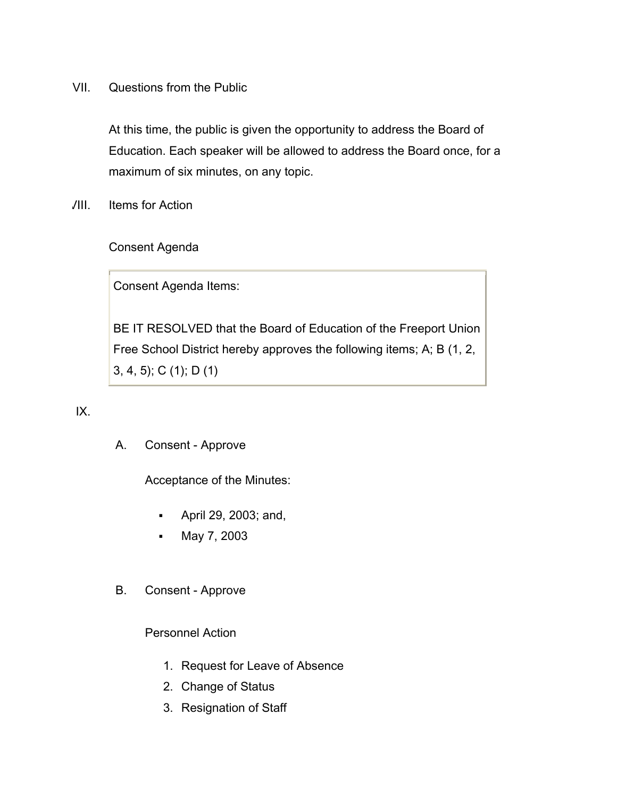VII. Questions from the Public

At this time, the public is given the opportunity to address the Board of Education. Each speaker will be allowed to address the Board once, for a maximum of six minutes, on any topic.

VIII. Items for Action

Consent Agenda

Consent Agenda Items:

BE IT RESOLVED that the Board of Education of the Freeport Union Free School District hereby approves the following items; A; B (1, 2, 3, 4, 5); C (1); D (1)

IX.

A. Consent - Approve

Acceptance of the Minutes:

- April 29, 2003; and,
- May 7, 2003
- B. Consent Approve

Personnel Action

- 1. Request for Leave of Absence
- 2. Change of Status
- 3. Resignation of Staff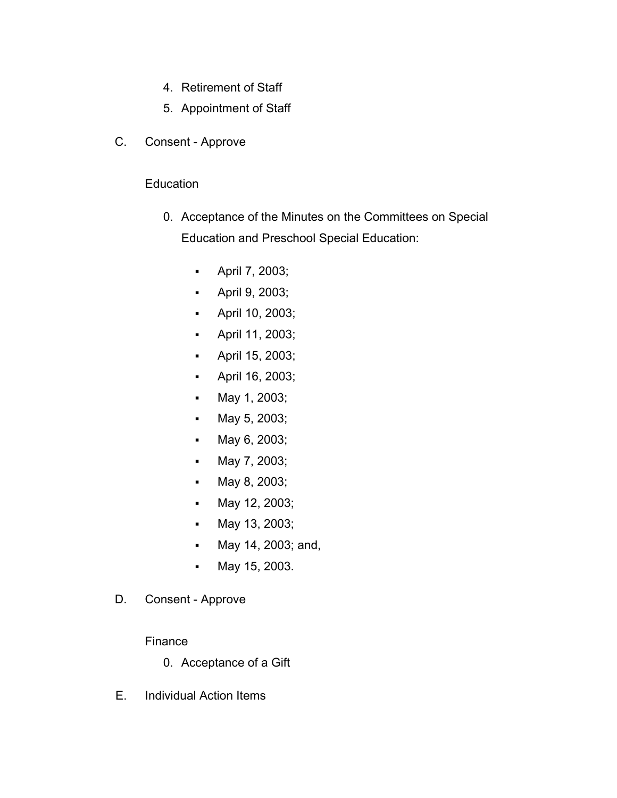- 4. Retirement of Staff
- 5. Appointment of Staff
- C. Consent Approve

# Education

- 0. Acceptance of the Minutes on the Committees on Special Education and Preschool Special Education:
	- **-** April 7, 2003;
	- April 9, 2003;
	- April 10, 2003;
	- April 11, 2003;
	- April 15, 2003;
	- April 16, 2003;
	- May 1, 2003;
	- May 5, 2003;
	- May 6, 2003;
	- May 7, 2003;
	- **May 8, 2003;**
	- May 12, 2003;
	- May 13, 2003;
	- May 14, 2003; and,
	- May 15, 2003.
- D. Consent Approve

## Finance

- 0. Acceptance of a Gift
- E. Individual Action Items